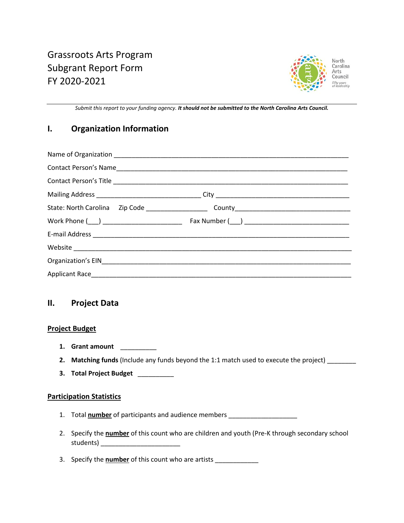

*Submit this report to your funding agency. It should not be submitted to the North Carolina Arts Council.*

# **I. Organization Information**

## **II. Project Data**

## **Project Budget**

- **1. Grant amount** \_\_\_\_\_\_\_\_\_\_
- **2. Matching funds** (Include any funds beyond the 1:1 match used to execute the project) \_\_\_\_\_\_\_\_
- **3. Total Project Budget** \_\_\_\_\_\_\_\_\_\_

#### **Participation Statistics**

- 1. Total **number** of participants and audience members \_\_\_\_\_\_\_\_\_\_\_\_\_\_\_\_\_\_\_\_\_\_\_\_\_\_
- 2. Specify the **number** of this count who are children and youth (Pre-K through secondary school students) \_\_\_\_\_\_\_\_\_\_\_\_\_\_\_\_\_\_\_\_\_\_
- 3. Specify the **number** of this count who are artists \_\_\_\_\_\_\_\_\_\_\_\_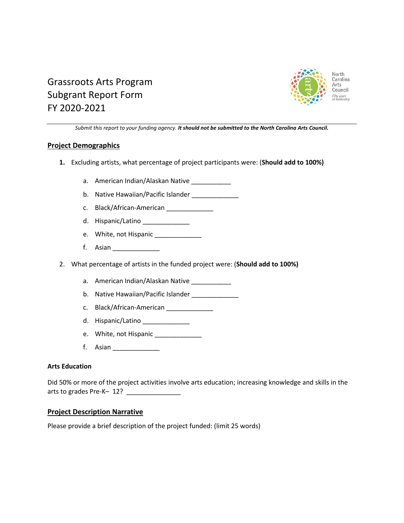

# Grassroots Arts Program Subgrant Report Form FY 2020-2021

*Submit this report to your funding agency. It should not be submitted to the North Carolina Arts Council.*

## **Project Demographics**

- **1.** Excluding artists, what percentage of project participants were: (**Should add to 100%)**
	- a. American Indian/Alaskan Native
	- b. Native Hawaiian/Pacific Islander
	- c. Black/African-American
	- d. Hispanic/Latino
	- e. White, not Hispanic \_\_\_\_\_\_\_\_\_\_\_\_\_\_
	- f. Asian **and all the set of the set of the set of the set of the set of the set of the set of the set of the set of the set of the set of the set of the set of the set of the set of the set of the set of the set of the se**
- 2. What percentage of artists in the funded project were: (**Should add to 100%)**
	- a. American Indian/Alaskan Native
	- b. Native Hawaiian/Pacific Islander \_\_\_\_\_\_\_\_\_\_\_\_\_\_
	- c. Black/African-American \_\_\_\_\_\_\_\_\_\_\_\_\_\_\_
	- d. Hispanic/Latino \_\_\_\_\_\_\_\_\_\_\_\_\_
	- e. White, not Hispanic \_\_\_\_\_\_\_\_\_\_\_\_\_
	- f. Asian \_\_\_\_\_\_\_\_\_\_\_\_\_

## **Arts Education**

Did 50% or more of the project activities involve arts education; increasing knowledge and skills in the arts to grades Pre-K-12?

## **Project Description Narrative**

Please provide a brief description of the project funded: (limit 25 words)